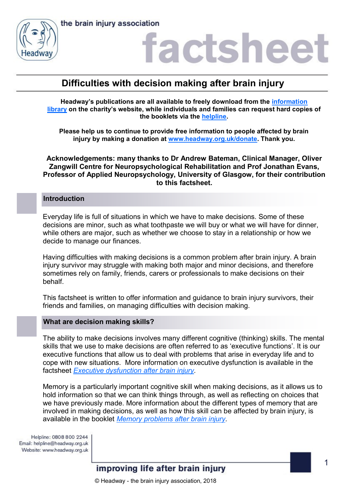



### actshee

### **Difficulties with decision making after brain injury**

**Headway's publications are all available to freely download from the [information](https://www.headway.org.uk/about-brain-injury/individuals/information-library/)  [library](https://www.headway.org.uk/about-brain-injury/individuals/information-library/) on the charity's website, while individuals and families can request hard copies of the booklets via the [helpline.](https://www.headway.org.uk/supporting-you/helpline/)**

**Please help us to continue to provide free information to people affected by brain injury by making a donation at [www.headway.org.uk/donate.](http://www.headway.org.uk/donate) Thank you.**

**Acknowledgements: many thanks to Dr Andrew Bateman, Clinical Manager, Oliver Zangwill Centre for Neuropsychological Rehabilitation and Prof Jonathan Evans, Professor of Applied Neuropsychology, University of Glasgow, for their contribution to this factsheet.**

#### **Introduction**

Everyday life is full of situations in which we have to make decisions. Some of these decisions are minor, such as what toothpaste we will buy or what we will have for dinner, while others are major, such as whether we choose to stay in a relationship or how we decide to manage our finances.

Having difficulties with making decisions is a common problem after brain injury. A brain injury survivor may struggle with making both major and minor decisions, and therefore sometimes rely on family, friends, carers or professionals to make decisions on their behalf.

This factsheet is written to offer information and guidance to brain injury survivors, their friends and families, on managing difficulties with decision making.

#### **What are decision making skills?**

The ability to make decisions involves many different cognitive (thinking) skills. The mental skills that we use to make decisions are often referred to as 'executive functions'. It is our executive functions that allow us to deal with problems that arise in everyday life and to cope with new situations. More information on executive dysfunction is available in the factsheet *[Executive dysfunction after brain injury.](https://www.headway.org.uk/media/2801/executive-dysfunction-after-brain-injury-factsheet.pdf)* 

Memory is a particularly important cognitive skill when making decisions, as it allows us to hold information so that we can think things through, as well as reflecting on choices that we have previously made. More information about the different types of memory that are involved in making decisions, as well as how this skill can be affected by brain injury, is available in the booklet *[Memory problems after brain injury.](https://www.headway.org.uk/media/3996/memory-problems-after-brain-injury-e-booklet.pdf)* 

Helpline: 0808 800 2244 Email: helpline@headway.org.uk Website: www.headway.org.uk

### improving life after brain injury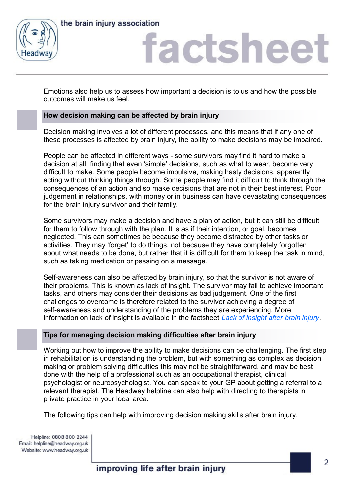

### factsheet

Emotions also help us to assess how important a decision is to us and how the possible outcomes will make us feel.

### **How decision making can be affected by brain injury**

Decision making involves a lot of different processes, and this means that if any one of these processes is affected by brain injury, the ability to make decisions may be impaired.

People can be affected in different ways - some survivors may find it hard to make a decision at all, finding that even 'simple' decisions, such as what to wear, become very difficult to make. Some people become impulsive, making hasty decisions, apparently acting without thinking things through. Some people may find it difficult to think through the consequences of an action and so make decisions that are not in their best interest. Poor judgement in relationships, with money or in business can have devastating consequences for the brain injury survivor and their family.

Some survivors may make a decision and have a plan of action, but it can still be difficult for them to follow through with the plan. It is as if their intention, or goal, becomes neglected. This can sometimes be because they become distracted by other tasks or activities. They may 'forget' to do things, not because they have completely forgotten about what needs to be done, but rather that it is difficult for them to keep the task in mind, such as taking medication or passing on a message.

Self-awareness can also be affected by brain injury, so that the survivor is not aware of their problems. This is known as lack of insight. The survivor may fail to achieve important tasks, and others may consider their decisions as bad judgement. One of the first challenges to overcome is therefore related to the survivor achieving a degree of self-awareness and understanding of the problems they are experiencing. More information on lack of insight is available in the factsheet *[Lack of insight after brain injury](https://www.headway.org.uk/media/4091/lack-of-insight-after-brain-injury-factsheet.pdf)*.

### **Tips for managing decision making difficulties after brain injury**

Working out how to improve the ability to make decisions can be challenging. The first step in rehabilitation is understanding the problem, but with something as complex as decision making or problem solving difficulties this may not be straightforward, and may be best done with the help of a professional such as an occupational therapist, clinical psychologist or neuropsychologist. You can speak to your GP about getting a referral to a relevant therapist. The Headway helpline can also help with directing to therapists in private practice in your local area.

The following tips can help with improving decision making skills after brain injury.

Helpline: 0808 800 2244 Email: helpline@headway.org.uk Website: www.headway.org.uk

improving life after brain injury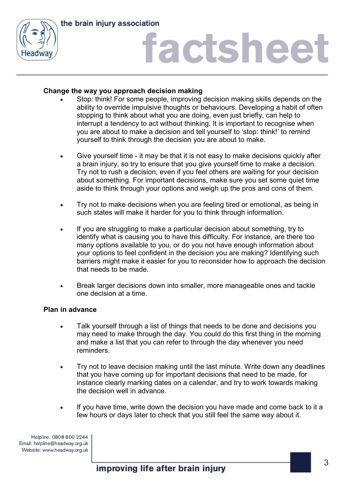

# factsheet

### **Change the way you approach decision making**

- Stop: think! For some people, improving decision making skills depends on the ability to override impulsive thoughts or behaviours. Developing a habit of often stopping to think about what you are doing, even just briefly, can help to interrupt a tendency to act without thinking. It is important to recognise when you are about to make a decision and tell yourself to 'stop: think!' to remind yourself to think through the decision you are about to make.
- Give yourself time it may be that it is not easy to make decisions quickly after a brain injury, so try to ensure that you give yourself time to make a decision. Try not to rush a decision, even if you feel others are waiting for your decision about something. For important decisions, make sure you set some quiet time aside to think through your options and weigh up the pros and cons of them.
- Try not to make decisions when you are feeling tired or emotional, as being in such states will make it harder for you to think through information.
- If you are struggling to make a particular decision about something, try to identify what is causing you to have this difficulty. For instance, are there too many options available to you, or do you not have enough information about your options to feel confident in the decision you are making? Identifying such barriers might make it easier for you to reconsider how to approach the decision that needs to be made.
- Break larger decisions down into smaller, more manageable ones and tackle one decision at a time.

### **Plan in advance**

- Talk yourself through a list of things that needs to be done and decisions you may need to make through the day. You could do this first thing in the morning and make a list that you can refer to through the day whenever you need reminders.
- Try not to leave decision making until the last minute. Write down any deadlines that you have coming up for important decisions that need to be made, for instance clearly marking dates on a calendar, and try to work towards making the decision well in advance.
- If you have time, write down the decision you have made and come back to it a few hours or days later to check that you still feel the same way about it.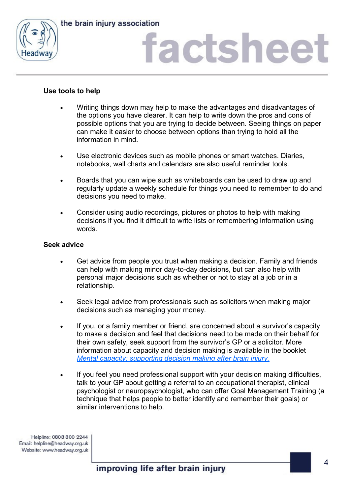

## factsheet

### **Use tools to help**

- Writing things down may help to make the advantages and disadvantages of the options you have clearer. It can help to write down the pros and cons of possible options that you are trying to decide between. Seeing things on paper can make it easier to choose between options than trying to hold all the information in mind.
- Use electronic devices such as mobile phones or smart watches. Diaries, notebooks, wall charts and calendars are also useful reminder tools.
- Boards that you can wipe such as whiteboards can be used to draw up and regularly update a weekly schedule for things you need to remember to do and decisions you need to make.
- Consider using audio recordings, pictures or photos to help with making decisions if you find it difficult to write lists or remembering information using words.

#### **Seek advice**

- Get advice from people you trust when making a decision. Family and friends can help with making minor day-to-day decisions, but can also help with personal major decisions such as whether or not to stay at a job or in a relationship.
- Seek legal advice from professionals such as solicitors when making major decisions such as managing your money.
- If you, or a family member or friend, are concerned about a survivor's capacity to make a decision and feel that decisions need to be made on their behalf for their own safety, seek support from the survivor's GP or a solicitor. More information about capacity and decision making is available in the booklet *[Mental capacity: supporting decision making after brain injury.](https://www.headway.org.uk/media/4108/mental-capacity-supporting-decision-making-after-brain-injury-e-booklet.pdf)*
- If you feel you need professional support with your decision making difficulties, talk to your GP about getting a referral to an occupational therapist, clinical psychologist or neuropsychologist, who can offer Goal Management Training (a technique that helps people to better identify and remember their goals) or similar interventions to help.